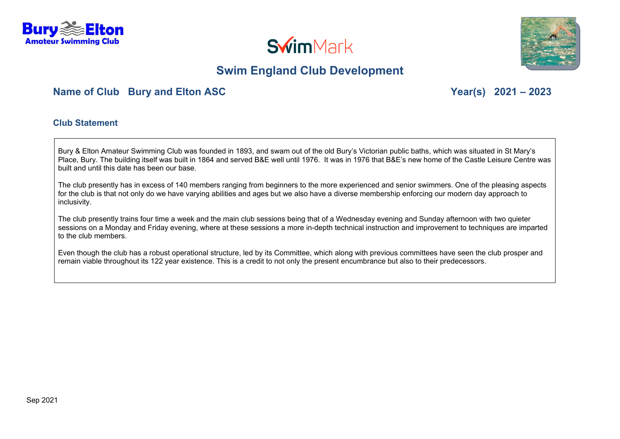





### **Name of Club Bury and Elton ASC Year(s) 2021 – 2023**

#### **Club Statement**

Bury & Elton Amateur Swimming Club was founded in 1893, and swam out of the old Bury's Victorian public baths, which was situated in St Mary's Place, Bury. The building itself was built in 1864 and served B&E well until 1976. It was in 1976 that B&E's new home of the Castle Leisure Centre was built and until this date has been our base.

The club presently has in excess of 140 members ranging from beginners to the more experienced and senior swimmers. One of the pleasing aspects for the club is that not only do we have varying abilities and ages but we also have a diverse membership enforcing our modern day approach to inclusivity.

The club presently trains four time a week and the main club sessions being that of a Wednesday evening and Sunday afternoon with two quieter sessions on a Monday and Friday evening, where at these sessions a more in-depth technical instruction and improvement to techniques are imparted to the club members.

Even though the club has a robust operational structure, led by its Committee, which along with previous committees have seen the club prosper and remain viable throughout its 122 year existence. This is a credit to not only the present encumbrance but also to their predecessors.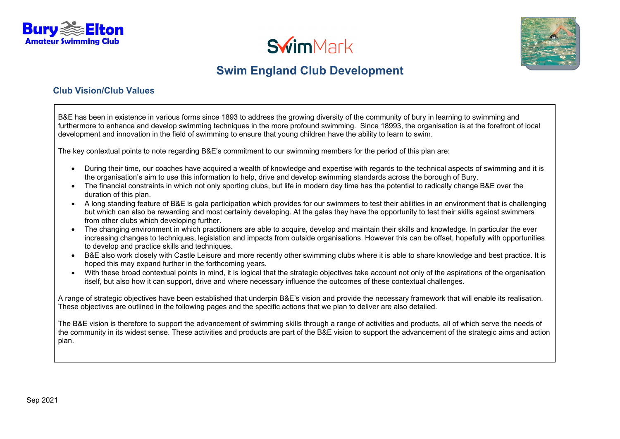





#### **Club Vision/Club Values**

B&E has been in existence in various forms since 1893 to address the growing diversity of the community of bury in learning to swimming and furthermore to enhance and develop swimming techniques in the more profound swimming. Since 18993, the organisation is at the forefront of local development and innovation in the field of swimming to ensure that young children have the ability to learn to swim.

The key contextual points to note regarding B&E's commitment to our swimming members for the period of this plan are:

- During their time, our coaches have acquired a wealth of knowledge and expertise with regards to the technical aspects of swimming and it is the organisation's aim to use this information to help, drive and develop swimming standards across the borough of Bury.
- The financial constraints in which not only sporting clubs, but life in modern day time has the potential to radically change B&E over the duration of this plan.
- A long standing feature of B&E is gala participation which provides for our swimmers to test their abilities in an environment that is challenging but which can also be rewarding and most certainly developing. At the galas they have the opportunity to test their skills against swimmers from other clubs which developing further.
- The changing environment in which practitioners are able to acquire, develop and maintain their skills and knowledge. In particular the ever increasing changes to techniques, legislation and impacts from outside organisations. However this can be offset, hopefully with opportunities to develop and practice skills and techniques.
- B&E also work closely with Castle Leisure and more recently other swimming clubs where it is able to share knowledge and best practice. It is hoped this may expand further in the forthcoming years.
- With these broad contextual points in mind, it is logical that the strategic objectives take account not only of the aspirations of the organisation itself, but also how it can support, drive and where necessary influence the outcomes of these contextual challenges.

A range of strategic objectives have been established that underpin B&E's vision and provide the necessary framework that will enable its realisation. These objectives are outlined in the following pages and the specific actions that we plan to deliver are also detailed.

The B&E vision is therefore to support the advancement of swimming skills through a range of activities and products, all of which serve the needs of the community in its widest sense. These activities and products are part of the B&E vision to support the advancement of the strategic aims and action plan.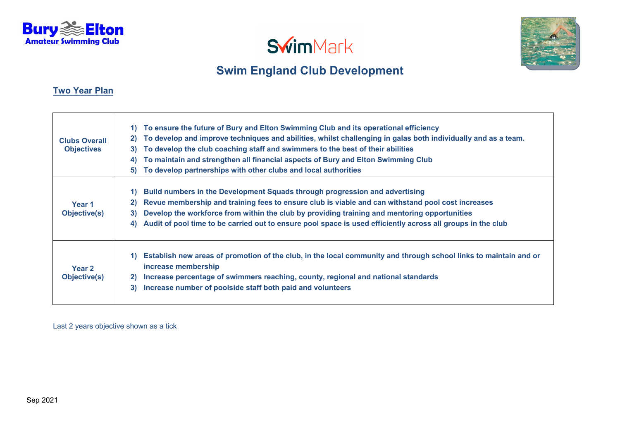



#### **Two Year Plan**

| <b>Clubs Overall</b><br><b>Objectives</b> | To ensure the future of Bury and Elton Swimming Club and its operational efficiency<br>1)<br>To develop and improve techniques and abilities, whilst challenging in galas both individually and as a team.<br>2)<br>To develop the club coaching staff and swimmers to the best of their abilities<br>3)<br>To maintain and strengthen all financial aspects of Bury and Elton Swimming Club<br>4)<br>To develop partnerships with other clubs and local authorities<br>5) |
|-------------------------------------------|----------------------------------------------------------------------------------------------------------------------------------------------------------------------------------------------------------------------------------------------------------------------------------------------------------------------------------------------------------------------------------------------------------------------------------------------------------------------------|
| Year 1<br>Objective(s)                    | Build numbers in the Development Squads through progression and advertising<br>1)<br>Revue membership and training fees to ensure club is viable and can withstand pool cost increases<br>2)<br>Develop the workforce from within the club by providing training and mentoring opportunities<br>3)<br>Audit of pool time to be carried out to ensure pool space is used efficiently across all groups in the club<br>4)                                                    |
| Year 2<br>Objective(s)                    | Establish new areas of promotion of the club, in the local community and through school links to maintain and or<br><b>1</b><br>increase membership<br>Increase percentage of swimmers reaching, county, regional and national standards<br>$\mathbf{2}$<br>Increase number of poolside staff both paid and volunteers<br>3)                                                                                                                                               |

Last 2 years objective shown as a tick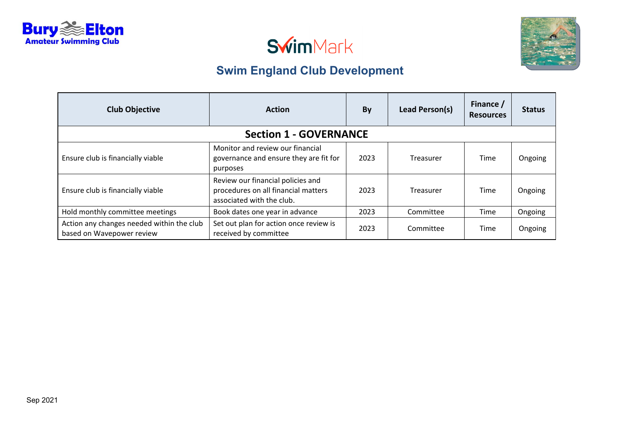







| <b>Club Objective</b>                                                  | <b>Action</b>                                                                                         | By   | Lead Person(s) | Finance /<br><b>Resources</b> | <b>Status</b> |  |
|------------------------------------------------------------------------|-------------------------------------------------------------------------------------------------------|------|----------------|-------------------------------|---------------|--|
| <b>Section 1 - GOVERNANCE</b>                                          |                                                                                                       |      |                |                               |               |  |
| Ensure club is financially viable                                      | Monitor and review our financial<br>governance and ensure they are fit for<br>purposes                | 2023 | Treasurer      | Time                          | Ongoing       |  |
| Ensure club is financially viable                                      | Review our financial policies and<br>procedures on all financial matters<br>associated with the club. | 2023 | Treasurer      | Time                          | Ongoing       |  |
| Hold monthly committee meetings                                        | Book dates one year in advance                                                                        | 2023 | Committee      | Time                          | Ongoing       |  |
| Action any changes needed within the club<br>based on Wavepower review | Set out plan for action once review is<br>received by committee                                       | 2023 | Committee      | Time                          | Ongoing       |  |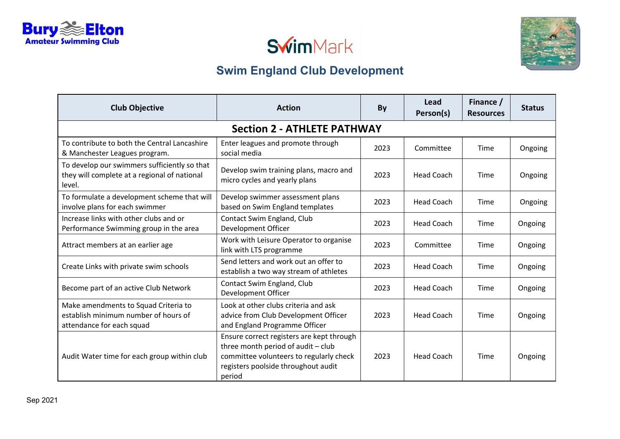





| <b>Club Objective</b>                                                                                     | <b>Action</b>                                                                                                                                                               | By   | Lead<br>Person(s) | Finance /<br><b>Resources</b> | <b>Status</b> |  |
|-----------------------------------------------------------------------------------------------------------|-----------------------------------------------------------------------------------------------------------------------------------------------------------------------------|------|-------------------|-------------------------------|---------------|--|
| <b>Section 2 - ATHLETE PATHWAY</b>                                                                        |                                                                                                                                                                             |      |                   |                               |               |  |
| To contribute to both the Central Lancashire<br>& Manchester Leagues program.                             | Enter leagues and promote through<br>social media                                                                                                                           | 2023 | Committee         | Time                          | Ongoing       |  |
| To develop our swimmers sufficiently so that<br>they will complete at a regional of national<br>level.    | Develop swim training plans, macro and<br>micro cycles and yearly plans                                                                                                     | 2023 | <b>Head Coach</b> | Time                          | Ongoing       |  |
| To formulate a development scheme that will<br>involve plans for each swimmer                             | Develop swimmer assessment plans<br>based on Swim England templates                                                                                                         |      | <b>Head Coach</b> | Time                          | Ongoing       |  |
| Increase links with other clubs and or<br>Performance Swimming group in the area                          | Contact Swim England, Club<br>Development Officer                                                                                                                           | 2023 | <b>Head Coach</b> | Time                          | Ongoing       |  |
| Work with Leisure Operator to organise<br>Attract members at an earlier age<br>link with LTS programme    |                                                                                                                                                                             | 2023 | Committee         | <b>Time</b>                   | Ongoing       |  |
| Create Links with private swim schools                                                                    | Send letters and work out an offer to<br>establish a two way stream of athletes                                                                                             | 2023 | <b>Head Coach</b> | <b>Time</b>                   | Ongoing       |  |
| Become part of an active Club Network                                                                     | Contact Swim England, Club<br>Development Officer                                                                                                                           | 2023 | <b>Head Coach</b> | <b>Time</b>                   | Ongoing       |  |
| Make amendments to Squad Criteria to<br>establish minimum number of hours of<br>attendance for each squad | Look at other clubs criteria and ask<br>advice from Club Development Officer<br>and England Programme Officer                                                               | 2023 | <b>Head Coach</b> | Time                          | Ongoing       |  |
| Audit Water time for each group within club                                                               | Ensure correct registers are kept through<br>three month period of audit - club<br>committee volunteers to regularly check<br>registers poolside throughout audit<br>period | 2023 | <b>Head Coach</b> | <b>Time</b>                   | Ongoing       |  |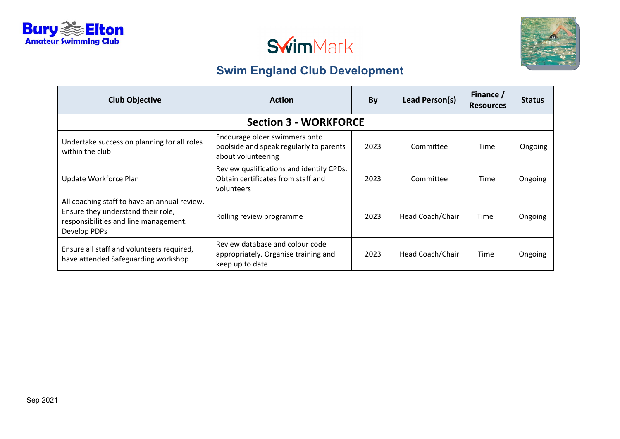



| <b>Club Objective</b>                                                                                                                       | <b>Action</b>                                                                                  | By   | Lead Person(s)   | Finance /<br><b>Resources</b> | <b>Status</b> |  |  |
|---------------------------------------------------------------------------------------------------------------------------------------------|------------------------------------------------------------------------------------------------|------|------------------|-------------------------------|---------------|--|--|
|                                                                                                                                             | <b>Section 3 - WORKFORCE</b>                                                                   |      |                  |                               |               |  |  |
| Undertake succession planning for all roles<br>within the club                                                                              | Encourage older swimmers onto<br>poolside and speak regularly to parents<br>about volunteering | 2023 | Committee        | Time                          | Ongoing       |  |  |
| Update Workforce Plan                                                                                                                       | Review qualifications and identify CPDs.<br>Obtain certificates from staff and<br>volunteers   | 2023 | Committee        | Time                          | Ongoing       |  |  |
| All coaching staff to have an annual review.<br>Ensure they understand their role,<br>responsibilities and line management.<br>Develop PDPs | Rolling review programme                                                                       | 2023 | Head Coach/Chair | Time                          | Ongoing       |  |  |
| Ensure all staff and volunteers required,<br>have attended Safeguarding workshop                                                            | Review database and colour code<br>appropriately. Organise training and<br>keep up to date     | 2023 | Head Coach/Chair | Time                          | Ongoing       |  |  |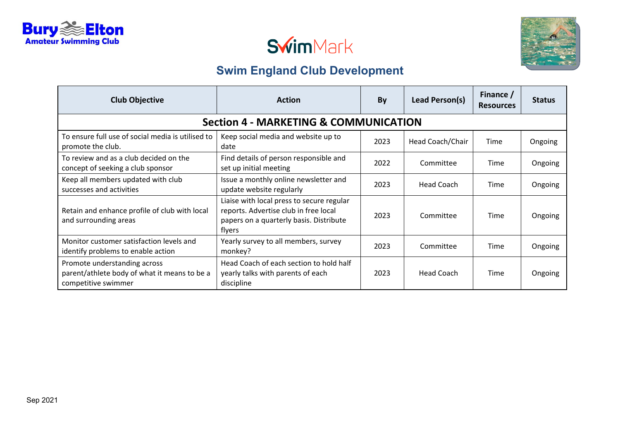





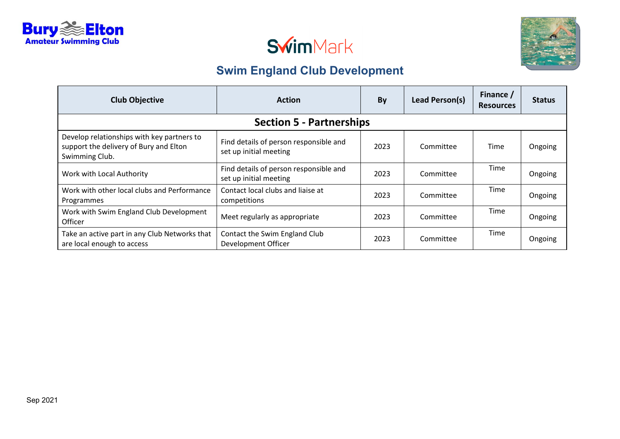



| <b>Club Objective</b><br><b>Action</b>                                                                 |                                                                  | By   | Lead Person(s) | Finance /<br><b>Resources</b> | <b>Status</b> |
|--------------------------------------------------------------------------------------------------------|------------------------------------------------------------------|------|----------------|-------------------------------|---------------|
|                                                                                                        | <b>Section 5 - Partnerships</b>                                  |      |                |                               |               |
| Develop relationships with key partners to<br>support the delivery of Bury and Elton<br>Swimming Club. | Find details of person responsible and<br>set up initial meeting | 2023 | Committee      | Time                          | Ongoing       |
| Work with Local Authority                                                                              | Find details of person responsible and<br>set up initial meeting | 2023 | Committee      | Time                          | Ongoing       |
| Work with other local clubs and Performance<br>Programmes                                              | Contact local clubs and liaise at<br>competitions                | 2023 | Committee      | Time                          | Ongoing       |
| Work with Swim England Club Development<br><b>Officer</b>                                              | Meet regularly as appropriate                                    | 2023 | Committee      | Time                          | Ongoing       |
| Take an active part in any Club Networks that<br>are local enough to access                            | Contact the Swim England Club<br>Development Officer             | 2023 | Committee      | Time                          | Ongoing       |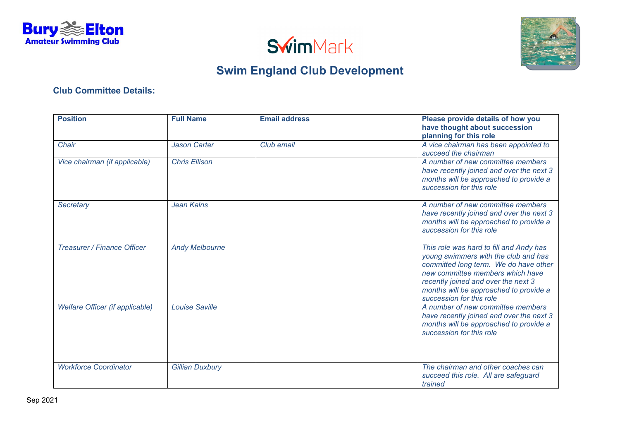





### **Club Committee Details:**

| <b>Position</b>                 | <b>Full Name</b>       | <b>Email address</b> | Please provide details of how you<br>have thought about succession<br>planning for this role                                                                                                                                                                              |
|---------------------------------|------------------------|----------------------|---------------------------------------------------------------------------------------------------------------------------------------------------------------------------------------------------------------------------------------------------------------------------|
| Chair                           | <b>Jason Carter</b>    | Club email           | A vice chairman has been appointed to<br>succeed the chairman                                                                                                                                                                                                             |
| Vice chairman (if applicable)   | <b>Chris Ellison</b>   |                      | A number of new committee members<br>have recently joined and over the next 3<br>months will be approached to provide a<br>succession for this role                                                                                                                       |
| <b>Secretary</b>                | <b>Jean Kalns</b>      |                      | A number of new committee members<br>have recently joined and over the next 3<br>months will be approached to provide a<br>succession for this role                                                                                                                       |
| Treasurer / Finance Officer     | <b>Andy Melbourne</b>  |                      | This role was hard to fill and Andy has<br>young swimmers with the club and has<br>committed long term. We do have other<br>new committee members which have<br>recently joined and over the next 3<br>months will be approached to provide a<br>succession for this role |
| Welfare Officer (if applicable) | <b>Louise Saville</b>  |                      | A number of new committee members<br>have recently joined and over the next 3<br>months will be approached to provide a<br>succession for this role                                                                                                                       |
| <b>Workforce Coordinator</b>    | <b>Gillian Duxbury</b> |                      | The chairman and other coaches can<br>succeed this role. All are safeguard<br>trained                                                                                                                                                                                     |